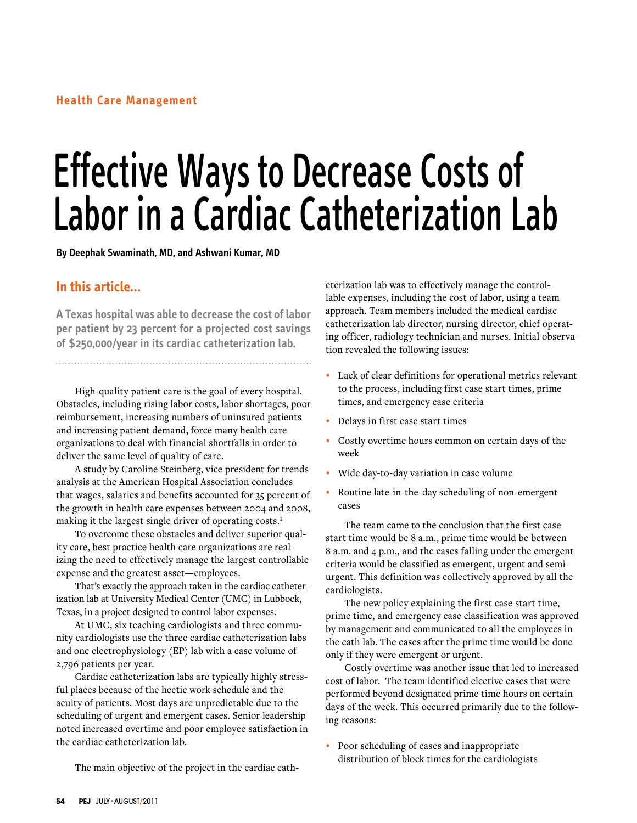# Effective Ways to Decrease Costs of Labor in a Cardiac Catheterization Lab

**By Deephak Swaminath, MD, and Ashwani Kumar, MD**

# **In this article…**

**A Texas hospital was able to decrease the cost of labor per patient by 23 percent for a projected cost savings of \$250,000/year in its cardiac catheterization lab.**

High-quality patient care is the goal of every hospital. Obstacles, including rising labor costs, labor shortages, poor reimbursement, increasing numbers of uninsured patients and increasing patient demand, force many health care organizations to deal with financial shortfalls in order to deliver the same level of quality of care.

A study by Caroline Steinberg, vice president for trends analysis at the American Hospital Association concludes that wages, salaries and benefits accounted for 35 percent of the growth in health care expenses between 2004 and 2008, making it the largest single driver of operating costs.<sup>1</sup>

To overcome these obstacles and deliver superior quality care, best practice health care organizations are realizing the need to effectively manage the largest controllable expense and the greatest asset—employees.

That's exactly the approach taken in the cardiac catheterization lab at University Medical Center (UMC) in Lubbock, Texas, in a project designed to control labor expenses.

At UMC, six teaching cardiologists and three community cardiologists use the three cardiac catheterization labs and one electrophysiology (EP) lab with a case volume of 2,796 patients per year.

Cardiac catheterization labs are typically highly stressful places because of the hectic work schedule and the acuity of patients. Most days are unpredictable due to the scheduling of urgent and emergent cases. Senior leadership noted increased overtime and poor employee satisfaction in the cardiac catheterization lab.

The main objective of the project in the cardiac cath-

eterization lab was to effectively manage the controllable expenses, including the cost of labor, using a team approach. Team members included the medical cardiac catheterization lab director, nursing director, chief operating officer, radiology technician and nurses. Initial observation revealed the following issues:

- **•**  Lack of clear definitions for operational metrics relevant to the process, including first case start times, prime times, and emergency case criteria
- **•**  Delays in first case start times
- **•**  Costly overtime hours common on certain days of the week
- **•**  Wide day-to-day variation in case volume
- **•**  Routine late-in-the-day scheduling of non-emergent cases

The team came to the conclusion that the first case start time would be 8 a.m., prime time would be between 8 a.m. and 4 p.m., and the cases falling under the emergent criteria would be classified as emergent, urgent and semiurgent. This definition was collectively approved by all the cardiologists.

The new policy explaining the first case start time, prime time, and emergency case classification was approved by management and communicated to all the employees in the cath lab. The cases after the prime time would be done only if they were emergent or urgent.

Costly overtime was another issue that led to increased cost of labor. The team identified elective cases that were performed beyond designated prime time hours on certain days of the week. This occurred primarily due to the following reasons:

**•**  Poor scheduling of cases and inappropriate distribution of block times for the cardiologists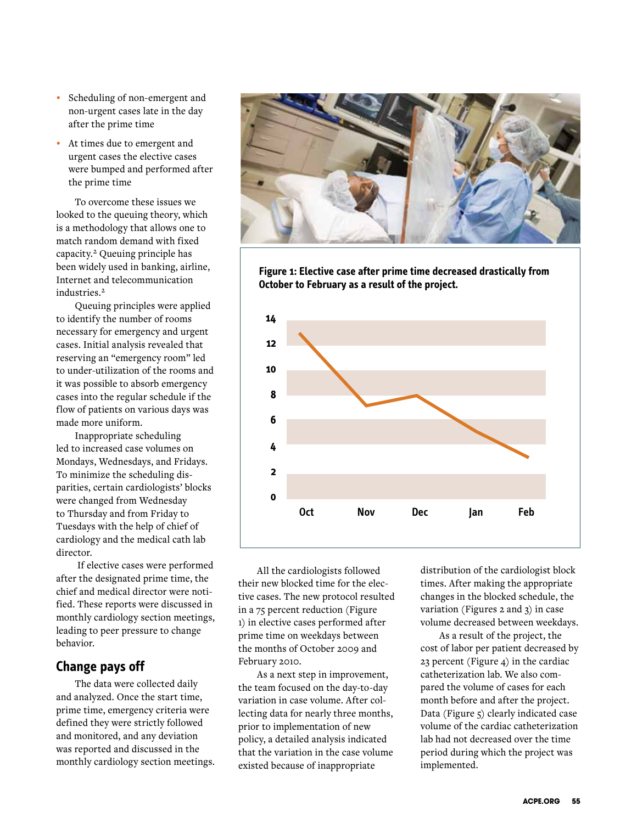- **•**  Scheduling of non-emergent and non-urgent cases late in the day after the prime time
- **•**  At times due to emergent and urgent cases the elective cases were bumped and performed after the prime time

To overcome these issues we looked to the queuing theory, which is a methodology that allows one to match random demand with fixed capacity.2 Queuing principle has been widely used in banking, airline, Internet and telecommunication industries.<sup>2</sup>

Queuing principles were applied to identify the number of rooms necessary for emergency and urgent cases. Initial analysis revealed that reserving an "emergency room" led to under-utilization of the rooms and it was possible to absorb emergency cases into the regular schedule if the flow of patients on various days was made more uniform.

Inappropriate scheduling led to increased case volumes on Mondays, Wednesdays, and Fridays. To minimize the scheduling disparities, certain cardiologists' blocks were changed from Wednesday to Thursday and from Friday to Tuesdays with the help of chief of cardiology and the medical cath lab director.

 If elective cases were performed after the designated prime time, the chief and medical director were notified. These reports were discussed in monthly cardiology section meetings, leading to peer pressure to change behavior.

# **Change pays off**

The data were collected daily and analyzed. Once the start time, prime time, emergency criteria were defined they were strictly followed and monitored, and any deviation was reported and discussed in the monthly cardiology section meetings.



**Figure 1: Elective case after prime time decreased drastically from October to February as a result of the project.**



All the cardiologists followed their new blocked time for the elective cases. The new protocol resulted in a 75 percent reduction (Figure 1) in elective cases performed after prime time on weekdays between the months of October 2009 and February 2010.

As a next step in improvement, the team focused on the day-to-day variation in case volume. After collecting data for nearly three months, prior to implementation of new policy, a detailed analysis indicated that the variation in the case volume existed because of inappropriate

distribution of the cardiologist block times. After making the appropriate changes in the blocked schedule, the variation (Figures 2 and 3) in case volume decreased between weekdays.

As a result of the project, the cost of labor per patient decreased by 23 percent (Figure 4) in the cardiac catheterization lab. We also compared the volume of cases for each month before and after the project. Data (Figure 5) clearly indicated case volume of the cardiac catheterization lab had not decreased over the time period during which the project was implemented.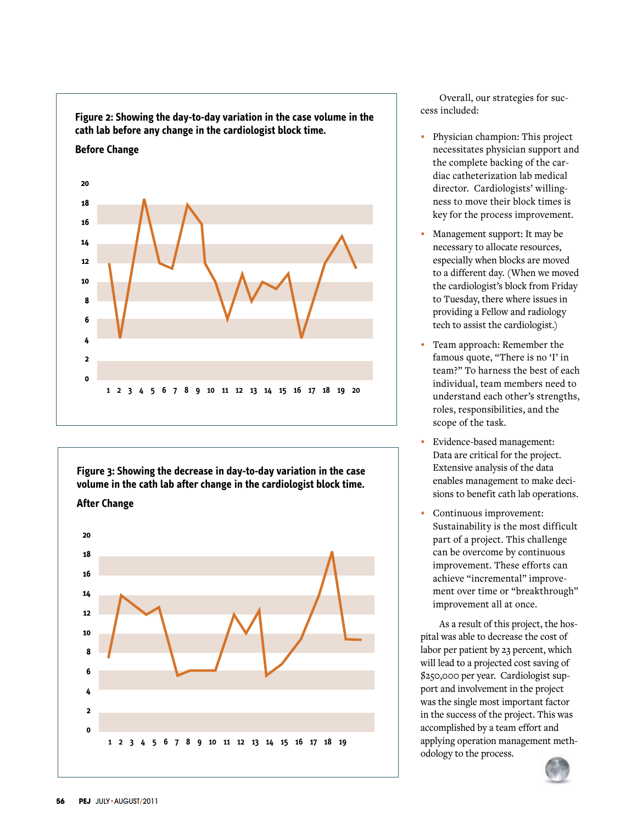

**Figure 3: Showing the decrease in day-to-day variation in the case volume in the cath lab after change in the cardiologist block time. After Change 20 18 16 14 12 10 8 6 4 2 0 1 2 3 4 5 6 7 8 9 10 11 12 13 14 15 16 17 18 19** 

Overall, our strategies for success included:

- **•**  Physician champion: This project necessitates physician support and the complete backing of the cardiac catheterization lab medical director. Cardiologists' willingness to move their block times is key for the process improvement.
- Management support: It may be necessary to allocate resources, especially when blocks are moved to a different day. (When we moved the cardiologist's block from Friday to Tuesday, there where issues in providing a Fellow and radiology tech to assist the cardiologist.)
- Team approach: Remember the famous quote, "There is no 'I' in team?" To harness the best of each individual, team members need to understand each other's strengths, roles, responsibilities, and the scope of the task.
- **Evidence-based management:** Data are critical for the project. Extensive analysis of the data enables management to make decisions to benefit cath lab operations.
- Continuous improvement: Sustainability is the most difficult part of a project. This challenge can be overcome by continuous improvement. These efforts can achieve "incremental" improvement over time or "breakthrough" improvement all at once.

As a result of this project, the hospital was able to decrease the cost of labor per patient by 23 percent, which will lead to a projected cost saving of \$250,000 per year. Cardiologist support and involvement in the project was the single most important factor in the success of the project. This was accomplished by a team effort and applying operation management methodology to the process.